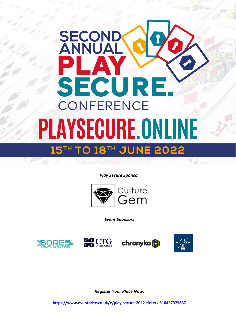## **SECONI**<br>ANNUA SECURE **CONFERENCE PLAYSECURE.ONLINE** 15TH TO 18TH JUNE 2022

*Play Secure Sponsor*



*Event Sponsors*









*Register Your Place Now:*

**[https://www.eventbrite.co.uk/e/play-secure-2022-tickets-310427375637](about:blank)**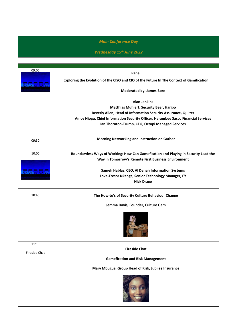|                       | <b>Main Conference Day</b>                                                                                                                                                                                                                                                       |
|-----------------------|----------------------------------------------------------------------------------------------------------------------------------------------------------------------------------------------------------------------------------------------------------------------------------|
|                       | <b>Wednesday 15th June 2022</b>                                                                                                                                                                                                                                                  |
|                       |                                                                                                                                                                                                                                                                                  |
| 09:00<br><b>OOOOO</b> | Panel<br>Exploring the Evolution of the CISO and CIO of the Future In The Context of Gamification                                                                                                                                                                                |
|                       | <b>Moderated by: James Bore</b>                                                                                                                                                                                                                                                  |
|                       | <b>Alan Jenkins</b><br><b>Matthias Muhlert, Security Bear, Haribo</b><br>Beverly Allen, Head of Information Security Assurance, Quilter<br>Amos Njogu, Chief Information Security Officer, Harambee Sacco Financial Services<br>Ian Thornton-Trump, CEO, Octopi Managed Services |
| 09:30                 | Morning Networking and Instruction on Gather                                                                                                                                                                                                                                     |
| 10:00                 | Boundaryless Ways of Working: How Can Gamefication and Playing in Security Lead the<br>Way in Tomorrow's Remote First Business Environment                                                                                                                                       |
| <del>aa aa a</del>    | Sameh Hablas, CEO, Al Danah Information Systems<br>Love-Tresor Nkanga, Senior Technology Manager, EY<br><b>Nick Drage</b>                                                                                                                                                        |
| 10:40                 | The How-to's of Security Culture Behaviour Change                                                                                                                                                                                                                                |
|                       | Jemma Davis, Founder, Culture Gem                                                                                                                                                                                                                                                |
|                       |                                                                                                                                                                                                                                                                                  |
| 11:10                 | <b>Fireside Chat</b>                                                                                                                                                                                                                                                             |
| <b>Fireside Chat</b>  | <b>Gamefication and Risk Management</b>                                                                                                                                                                                                                                          |
|                       | Mary Mbugua, Group Head of Risk, Jubilee Insurance                                                                                                                                                                                                                               |
|                       |                                                                                                                                                                                                                                                                                  |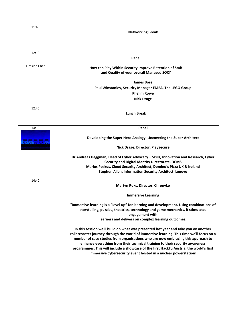| 11:40               | <b>Networking Break</b>                                                                                                                                                                                                                                                                                                                                                                                                                                                                                            |
|---------------------|--------------------------------------------------------------------------------------------------------------------------------------------------------------------------------------------------------------------------------------------------------------------------------------------------------------------------------------------------------------------------------------------------------------------------------------------------------------------------------------------------------------------|
| 12:10               |                                                                                                                                                                                                                                                                                                                                                                                                                                                                                                                    |
|                     | Panel                                                                                                                                                                                                                                                                                                                                                                                                                                                                                                              |
| Fireside Chat       | How can Play Within Security Improve Retention of Staff<br>and Quality of your overall Managed SOC?                                                                                                                                                                                                                                                                                                                                                                                                                |
|                     | <b>James Bore</b>                                                                                                                                                                                                                                                                                                                                                                                                                                                                                                  |
|                     | Paul Winstanley, Security Manager EMEA, The LEGO Group<br><b>Phelim Rowe</b>                                                                                                                                                                                                                                                                                                                                                                                                                                       |
|                     | <b>Nick Drage</b>                                                                                                                                                                                                                                                                                                                                                                                                                                                                                                  |
| 12:40               | <b>Lunch Break</b>                                                                                                                                                                                                                                                                                                                                                                                                                                                                                                 |
| 14:10               | Panel                                                                                                                                                                                                                                                                                                                                                                                                                                                                                                              |
| <del>eo d d a</del> | Developing the Super Hero Analogy: Uncovering the Super Architect                                                                                                                                                                                                                                                                                                                                                                                                                                                  |
|                     | Nick Drage, Director, PlaySecure                                                                                                                                                                                                                                                                                                                                                                                                                                                                                   |
|                     | Dr Andreas Haggman, Head of Cyber Advocacy - Skills, Innovation and Research, Cyber<br>Security and Digital Identity Directorate, DCMS<br>Marius Poskus, Cloud Security Architect, Domino's Pizza UK & Ireland<br>Stephen Allen, Information Security Architect, Lenovo                                                                                                                                                                                                                                            |
| 14:40               | Martyn Ruks, Director, Chronyko                                                                                                                                                                                                                                                                                                                                                                                                                                                                                    |
|                     | <b>Immersive Learning</b>                                                                                                                                                                                                                                                                                                                                                                                                                                                                                          |
|                     | "Immersive learning is a "level up" for learning and development. Using combinations of<br>storytelling, puzzles, theatrics, technology and game mechanics, it stimulates<br>engagement with<br>learners and delivers on complex learning outcomes.                                                                                                                                                                                                                                                                |
|                     | In this session we'll build on what was presented last year and take you on another<br>rollercoaster journey through the world of immersive learning. This time we'll focus on a<br>number of case studies from organisations who are now embracing this approach to<br>enhance everything from their technical training to their security awareness<br>programmes. This will include a showcase of the first HackFu Austria, the world's first<br>immersive cybersecurity event hosted in a nuclear powerstation! |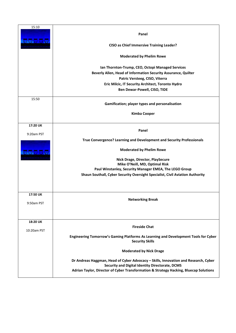| 15:10<br><del>a</del> aaa | Panel<br><b>CISO as Chief Immersive Training Leader?</b><br><b>Moderated by Phelim Rowe</b><br>Ian Thornton-Trump, CEO, Octopi Managed Services<br>Beverly Allen, Head of Information Security Assurance, Quilter<br>Patric Versteeg, CISO, Viterra<br>Eric Milcic, IT Security Architect, Toronto Hydro<br>Ben Dewar-Powell, CISO, TIDE |
|---------------------------|------------------------------------------------------------------------------------------------------------------------------------------------------------------------------------------------------------------------------------------------------------------------------------------------------------------------------------------|
| 15:50                     | Gamification; player types and personalisation<br><b>Kimba Cooper</b>                                                                                                                                                                                                                                                                    |
| 17:20 UK                  |                                                                                                                                                                                                                                                                                                                                          |
| 9:20am PST<br>99999       | Panel<br>True Convergence? Learning and Development and Security Professionals<br><b>Moderated by Phelim Rowe</b><br>Nick Drage, Director, PlaySecure<br>Mike O'Neill, MD, Optimal Risk<br>Paul Winstanley, Security Manager EMEA, The LEGO Group<br>Shaun Southall, Cyber Security Oversight Specialist, Civil Aviation Authority       |
| 17:50 UK<br>9:50am PST    | <b>Networking Break</b>                                                                                                                                                                                                                                                                                                                  |
| 18:20 UK                  |                                                                                                                                                                                                                                                                                                                                          |
| 10:20am PST               | <b>Fireside Chat</b><br>Engineering Tomorrow's Gaming Platforms As Learning and Development Tools for Cyber<br><b>Security Skills</b>                                                                                                                                                                                                    |
|                           | <b>Moderated by Nick Drage</b>                                                                                                                                                                                                                                                                                                           |
|                           | Dr Andreas Haggman, Head of Cyber Advocacy - Skills, Innovation and Research, Cyber<br>Security and Digital Identity Directorate, DCMS<br>Adrian Taylor, Director of Cyber Transformation & Strategy Hacking, Bluecap Solutions                                                                                                          |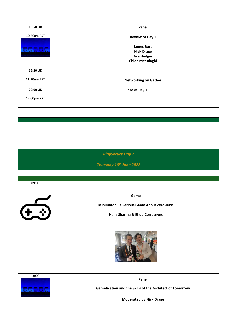| 18:50 UK    | Panel                                  |
|-------------|----------------------------------------|
| 10:50am PST | <b>Review of Day 1</b>                 |
|             | <b>James Bore</b><br><b>Nick Drage</b> |
|             | <b>Ace Hedger</b>                      |
|             | <b>Chloe Messdaghi</b>                 |
| 19:20 UK    |                                        |
| 11:20am PST | <b>Networking on Gather</b>            |
| 20:00 UK    | Close of Day 1                         |
| 12:00pm PST |                                        |
|             |                                        |
|             |                                        |

|              | <b>PlaySecure Day 2</b>                                  |
|--------------|----------------------------------------------------------|
|              | Thursday 16th June 2022                                  |
|              |                                                          |
| 09:00        |                                                          |
|              | Game                                                     |
| $\leftarrow$ | Minimator - a Serious Game About Zero-Days               |
|              | Hans Sharma & Ehud Cseresnyes                            |
|              |                                                          |
|              |                                                          |
| 10:00        | Panel                                                    |
| <b>BAAAA</b> | Gamefication and the Skills of the Architect of Tomorrow |
|              | <b>Moderated by Nick Drage</b>                           |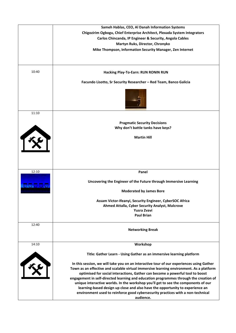|              | Sameh Hablas, CEO, Al Danah Information Systems                                          |
|--------------|------------------------------------------------------------------------------------------|
|              | Chigozirim Ogbogu, Chief Enterprise Architect, Plexada System Integrators                |
|              | Carlos Chincanda, IP Engineer & Security, Angola Cables                                  |
|              | Martyn Ruks, Director, Chronyko                                                          |
|              | Mike Thompson, Information Security Manager, Zen Internet                                |
|              |                                                                                          |
|              |                                                                                          |
|              |                                                                                          |
| 10:40        | Hacking Play-To-Earn: RUN RONIN RUN                                                      |
|              | Facundo Lisotto, Sr Security Researcher - Red Team, Banco Galicia                        |
|              |                                                                                          |
| 11:10        |                                                                                          |
|              |                                                                                          |
|              | <b>Pragmatic Security Decisions</b>                                                      |
|              | Why don't battle tanks have keys?                                                        |
| $\mathbf{r}$ |                                                                                          |
|              | <b>Martin Hill</b>                                                                       |
|              |                                                                                          |
|              |                                                                                          |
|              |                                                                                          |
|              |                                                                                          |
|              |                                                                                          |
|              |                                                                                          |
| 12:10        | Panel                                                                                    |
|              |                                                                                          |
|              | Uncovering the Engineer of the Future through Immersive Learning                         |
| 99999        |                                                                                          |
|              | <b>Moderated by James Bore</b>                                                           |
|              |                                                                                          |
|              | Assam Victor-Ifeanyi, Security Engineer, CyberSOC Africa                                 |
|              | Ahmed Attalla, Cyber Security Analyst, Malcrove                                          |
|              | <b>Yusra Zvavi</b>                                                                       |
|              | <b>Paul Brian</b>                                                                        |
|              |                                                                                          |
| 12:40        |                                                                                          |
|              | <b>Networking Break</b>                                                                  |
|              |                                                                                          |
|              |                                                                                          |
| 14:10        | Workshop                                                                                 |
|              |                                                                                          |
|              | Title: Gather Learn - Using Gather as an immersive learning platform                     |
| 130          |                                                                                          |
|              | In this session, we will take you on an interactive tour of our experiences using Gather |
|              | Town as an effective and scalable virtual immersive learning environment. As a platform  |
|              | optimised for social interactions, Gather can become a powerful tool to boost            |
|              | engagement in self-directed learning and education programmes through the creation of    |
|              |                                                                                          |
|              | unique interactive worlds. In the workshop you'll get to see the components of our       |
|              | learning-based design up close and also have the opportunity to experience an            |
|              | environment used to reinforce good cybersecurity practices with a non-technical          |
|              | audience.                                                                                |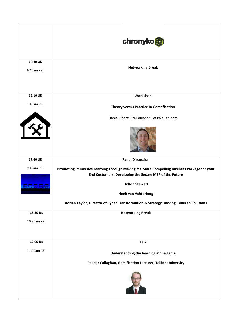|                           | chronyko                                                                                                                                                                                                                                                                                             |
|---------------------------|------------------------------------------------------------------------------------------------------------------------------------------------------------------------------------------------------------------------------------------------------------------------------------------------------|
| 14:40 UK<br>6:40am PST    | <b>Networking Break</b>                                                                                                                                                                                                                                                                              |
| 15:10 UK                  | Workshop                                                                                                                                                                                                                                                                                             |
| 7:10am PST                | Theory versus Practice In Gamefication                                                                                                                                                                                                                                                               |
| FRE                       | Daniel Shore, Co-Founder, LetsWeCan.com                                                                                                                                                                                                                                                              |
| 17:40 UK                  | <b>Panel Discussion</b>                                                                                                                                                                                                                                                                              |
| 9:40am PST<br>$\Theta$ UU | Promoting Immersive Learning Through Making it a More Compelling Business Package for your<br>End Customers: Developing the Secure MSP of the Future<br><b>Hylton Stewart</b><br><b>Henk van Achterberg</b><br>Adrian Taylor, Director of Cyber Transformation & Strategy Hacking, Bluecap Solutions |
| 18:30 UK                  | <b>Networking Break</b>                                                                                                                                                                                                                                                                              |
| 10:30am PST               |                                                                                                                                                                                                                                                                                                      |
| 19:00 UK                  | <b>Talk</b>                                                                                                                                                                                                                                                                                          |
| 11:00am PST               | Understanding the learning in the game                                                                                                                                                                                                                                                               |
|                           | Peadar Callaghan, Gamification Lecturer, Tallinn University                                                                                                                                                                                                                                          |
|                           |                                                                                                                                                                                                                                                                                                      |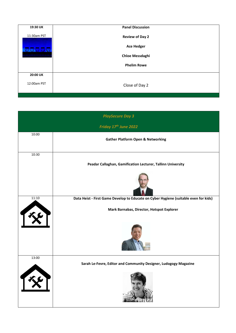| 19:30 UK    | <b>Panel Discussion</b> |
|-------------|-------------------------|
| 11:30am PST | <b>Review of Day 2</b>  |
| OUDO        | <b>Ace Hedger</b>       |
|             | <b>Chloe Messdaghi</b>  |
|             | <b>Phelim Rowe</b>      |
| 20:00 UK    |                         |
| 12:00am PST | Close of Day 2          |

|       | <b>PlaySecure Day 3</b>                                                                                                           |
|-------|-----------------------------------------------------------------------------------------------------------------------------------|
|       | Friday 17th June 2022                                                                                                             |
| 10:00 | <b>Gather Platform Open &amp; Networking</b>                                                                                      |
| 10:30 | Peadar Callaghan, Gamification Lecturer, Tallinn University                                                                       |
| 11:10 | Data Heist - First Game Develop to Educate on Cyber Hygiene (suitable even for kids)<br>Mark Barnabas, Director, Hotspot Explorer |
| 13:00 | Sarah Le-Fevre, Editor and Community Designer, Ludogogy Magazine                                                                  |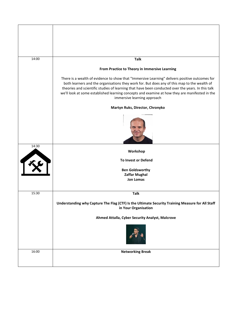| 14:00 | <b>Talk</b>                                                                                                                                                                                                                                                                                                                                                                                                                          |
|-------|--------------------------------------------------------------------------------------------------------------------------------------------------------------------------------------------------------------------------------------------------------------------------------------------------------------------------------------------------------------------------------------------------------------------------------------|
|       |                                                                                                                                                                                                                                                                                                                                                                                                                                      |
|       | From Practice to Theory in Immersive Learning                                                                                                                                                                                                                                                                                                                                                                                        |
|       | There is a wealth of evidence to show that "Immersive Learning" delivers positive outcomes for<br>both learners and the organisations they work for. But does any of this map to the wealth of<br>theories and scientific studies of learning that have been conducted over the years. In this talk<br>we'll look at some established learning concepts and examine at how they are manifested in the<br>immersive learning approach |
|       | Martyn Ruks, Director, Chronyko                                                                                                                                                                                                                                                                                                                                                                                                      |
|       |                                                                                                                                                                                                                                                                                                                                                                                                                                      |
| 14:30 | Workshop                                                                                                                                                                                                                                                                                                                                                                                                                             |
|       | <b>To Invest or Defend</b>                                                                                                                                                                                                                                                                                                                                                                                                           |
|       | <b>Ben Goldsworthy</b>                                                                                                                                                                                                                                                                                                                                                                                                               |
|       | <b>Zaffar Mughal</b><br><b>Jon Lomas</b>                                                                                                                                                                                                                                                                                                                                                                                             |
|       |                                                                                                                                                                                                                                                                                                                                                                                                                                      |
| 15:30 | <b>Talk</b>                                                                                                                                                                                                                                                                                                                                                                                                                          |
|       | Understanding why Capture The Flag (CTF) is the Ultimate Security Training Measure for All Staff<br>in Your Organisation                                                                                                                                                                                                                                                                                                             |
|       | Ahmed Attalla, Cyber Security Analyst, Malcrove                                                                                                                                                                                                                                                                                                                                                                                      |
|       |                                                                                                                                                                                                                                                                                                                                                                                                                                      |
| 16:00 | <b>Networking Break</b>                                                                                                                                                                                                                                                                                                                                                                                                              |
|       |                                                                                                                                                                                                                                                                                                                                                                                                                                      |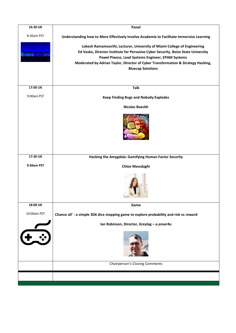| 16:30 UK    | Panel                                                                                                        |
|-------------|--------------------------------------------------------------------------------------------------------------|
| 8:30am PST  | Understanding how to More Effectively Involve Academia to Facilitate Immersive Learning                      |
|             | Lokesh Ramamoorthi, Lecturer, University of Miami College of Engineering                                     |
| 00000       | Ed Vasko, Director Institute for Pervasive Cyber Security, Boise State University                            |
|             | Pawel Piwosz, Lead Systems Engineer, EPAM Systems                                                            |
|             | Moderated by Adrian Taylor, Director of Cyber Transformation & Strategy Hacking,<br><b>Bluecap Solutions</b> |
|             |                                                                                                              |
|             |                                                                                                              |
| 17:00 UK    | <b>Talk</b>                                                                                                  |
| 9:00am PST  | <b>Keep Finding Bugs and Nobody Explodes</b>                                                                 |
|             | <b>Nicolas Boeckh</b>                                                                                        |
|             |                                                                                                              |
|             |                                                                                                              |
|             |                                                                                                              |
|             |                                                                                                              |
|             |                                                                                                              |
| 17:30 UK    |                                                                                                              |
|             | Hacking the Amygdala: Gamifying Human Factor Security                                                        |
| 9:30am PST  | <b>Chloe Messdaghi</b>                                                                                       |
|             |                                                                                                              |
|             |                                                                                                              |
|             |                                                                                                              |
|             |                                                                                                              |
| 18:00 UK    | Game                                                                                                         |
| 10:00am PST | Chance all' - a simple 3D6 dice stopping game to explore probability and risk vs reward                      |
|             | Ian Robinson, Director, Greylag - a.anser4u                                                                  |
| $\cdot$     |                                                                                                              |
|             |                                                                                                              |
|             |                                                                                                              |
|             |                                                                                                              |
|             | <b>Chairperson's Closing Comments</b>                                                                        |
|             |                                                                                                              |
|             |                                                                                                              |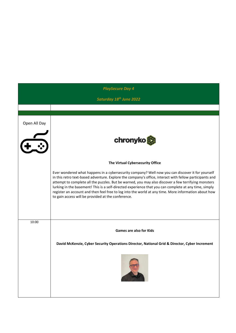|              | <b>PlaySecure Day 4</b>                                                                                                                                                                                                                                                                                                                                                                                                                                                                                                                                                                   |
|--------------|-------------------------------------------------------------------------------------------------------------------------------------------------------------------------------------------------------------------------------------------------------------------------------------------------------------------------------------------------------------------------------------------------------------------------------------------------------------------------------------------------------------------------------------------------------------------------------------------|
|              | Saturday 18 <sup>th</sup> June 2022                                                                                                                                                                                                                                                                                                                                                                                                                                                                                                                                                       |
|              |                                                                                                                                                                                                                                                                                                                                                                                                                                                                                                                                                                                           |
| Open All Day | chronyko                                                                                                                                                                                                                                                                                                                                                                                                                                                                                                                                                                                  |
|              | The Virtual Cybersecurity Office                                                                                                                                                                                                                                                                                                                                                                                                                                                                                                                                                          |
|              | Ever wondered what happens in a cybersecurity company? Well now you can discover it for yourself<br>in this retro text-based adventure. Explore the company's office, interact with fellow participants and<br>attempt to complete all the puzzles. But be warned, you may also discover a few terrifying monsters<br>lurking in the basement! This is a self-directed experience that you can complete at any time, simply<br>register an account and then feel free to log into the world at any time. More information about how<br>to gain access will be provided at the conference. |
| 10:00        |                                                                                                                                                                                                                                                                                                                                                                                                                                                                                                                                                                                           |
|              | <b>Games are also for Kids</b>                                                                                                                                                                                                                                                                                                                                                                                                                                                                                                                                                            |
|              | David McKenzie, Cyber Security Operations Director, National Grid & Director, Cyber Increment                                                                                                                                                                                                                                                                                                                                                                                                                                                                                             |
|              |                                                                                                                                                                                                                                                                                                                                                                                                                                                                                                                                                                                           |